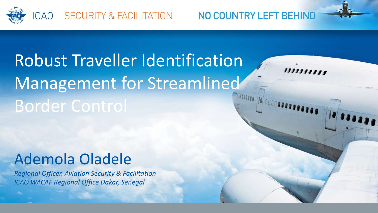

# **Robust Traveller Identification** Management for Streamlined **Border Control**

## Ademola Oladele

*Regional Officer, Aviation Security & Facilitation*  **ICAO** WACAF Regional Office Dakar, Senegal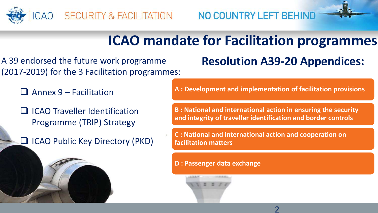

## **ICAO** mandate for Facilitation programmes

A 39 endorsed the future work programme (2017-2019) for the 3 Facilitation programmes:

 $\Box$  Annex 9 – Facilitation

 $\Box$  ICAO Traveller Identification Programme (TRIP) Strategy

 $\Box$  ICAO Public Key Directory (PKD)

### **Resolution A39-20 Appendices:**

**A : Development and implementation of facilitation provisions**

**B** : National and international action in ensuring the security and integrity of traveller identification and border controls

**C**: National and international action and cooperation on **facilitation matters**

**D** : Passenger data exchange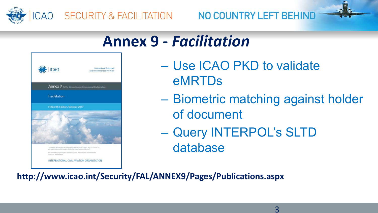

## **Annex 9 -** *Facilitation*



- Use ICAO PKD to validate eMRTDs
- Biometric matching against holder of document
- Query INTERPOL's SLTD database

**http://www.icao.int/Security/FAL/ANNEX9/Pages/Publications.aspx**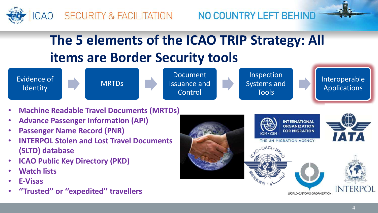

## **The 5 elements of the ICAO TRIP Strategy: All items are Border Security tools**



- **Machine Readable Travel Documents (MRTDs)**
- **Advance Passenger Information (API)**
- **Passenger Name Record (PNR)**
- **INTERPOL Stolen and Lost Travel Documents (SLTD) database**
- **ICAO Public Key Directory (PKD)**
- **Watch lists**
- **E-Visas**
- **''Trusted'' or ''expedited'' travellers**

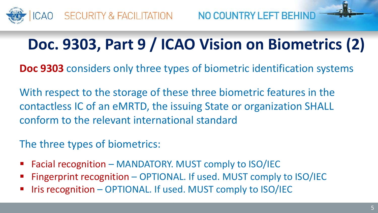

## Doc. 9303, Part 9 / ICAO Vision on Biometrics (2)

**Doc 9303** considers only three types of biometric identification systems

With respect to the storage of these three biometric features in the contactless IC of an eMRTD, the issuing State or organization SHALL conform to the relevant international standard

The three types of biometrics:

- Facial recognition MANDATORY. MUST comply to ISO/IEC
- Fingerprint recognition OPTIONAL. If used. MUST comply to ISO/IEC
- Iris recognition  $-$  OPTIONAL. If used. MUST comply to  $ISO/IEC$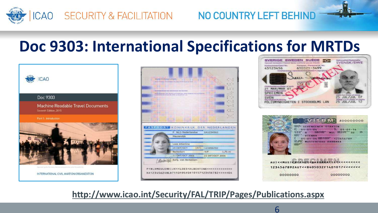

## Doc 9303: International Specifications for MRTDs









6

#### **http://www.icao.int/Security/FAL/TRIP/Pages/Publications.aspx**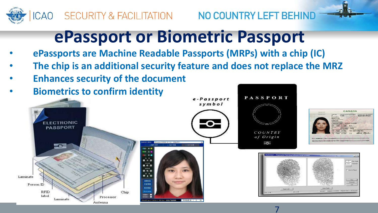



7

## **ePassport or Biometric Passport**

- **ePassports are Machine Readable Passports (MRPs) with a chip (IC)**
- The chip is an additional security feature and does not replace the MRZ
- **Enhances security of the document**

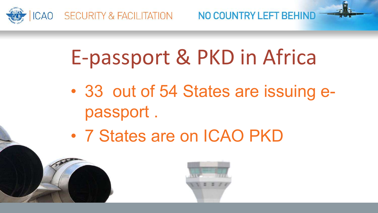

# E-passport & PKD in Africa

- 33 out of 54 States are issuing epassport .
- 7 States are on ICAO PKD

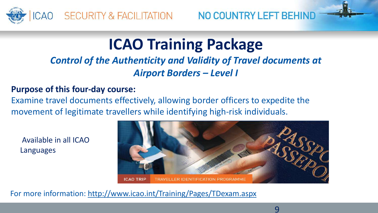

## **ICAO Training Package**

**Control of the Authenticity and Validity of Travel documents at** *Airport Borders – Level I*

#### **Purpose of this four-day course:**

Examine travel documents effectively, allowing border officers to expedite the movement of legitimate travellers while identifying high-risk individuals.

Available in all ICAO Languages



For more information: http://www.icao.int/Training/Pages/TDexam.aspx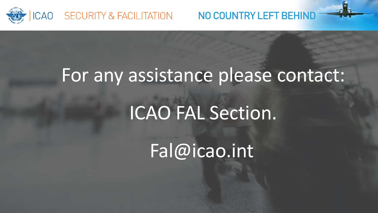

# For any assistance please contact:

# ICAO FAL Section.

Fal@icao.int